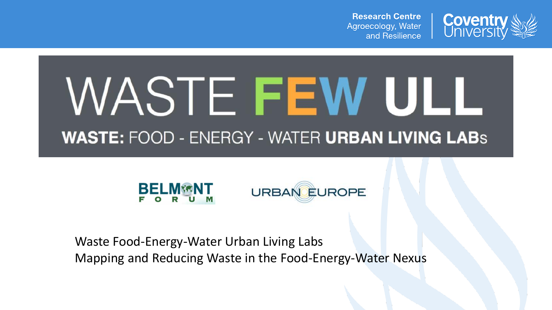**Research Centre** Agroecology, Water and Resilience



# WASTE FEW ULL **WASTE: FOOD - ENERGY - WATER URBAN LIVING LABS**



Waste Food-Energy-Water Urban Living Labs Mapping and Reducing Waste in the Food-Energy-Water Nexus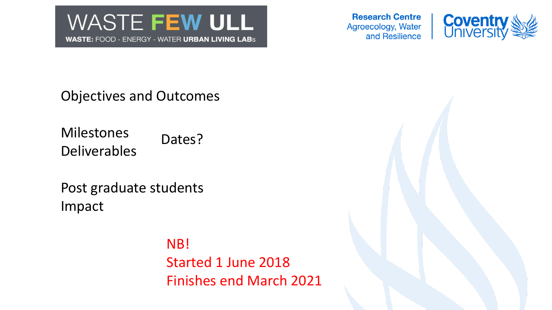

**Research Centre** Agroecology, Water and Resilience



Objectives and Outcomes

Milestones Deliverables Dates?

Post graduate students Impact

> NB! Started 1 June 2018 Finishes end March 2021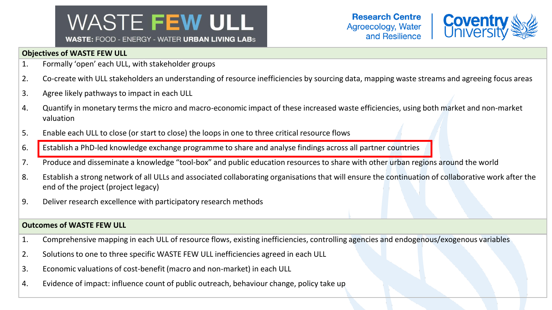### **WASTE FEW ULL WASTE: FOOD - ENERGY - WATER URBAN LIVING LABS**



#### **Objectives of WASTE FEW ULL**

- 1. Formally 'open' each ULL, with stakeholder groups
- 2. Co-create with ULL stakeholders an understanding of resource inefficiencies by sourcing data, mapping waste streams and agreeing focus areas
- 3. Agree likely pathways to impact in each ULL
- 4. Quantify in monetary terms the micro and macro-economic impact of these increased waste efficiencies, using both market and non-market valuation
- 5. Enable each ULL to close (or start to close) the loops in one to three critical resource flows
- 6. Establish a PhD-led knowledge exchange programme to share and analyse findings across all partner countries
- 7. Produce and disseminate a knowledge "tool-box" and public education resources to share with other urban regions around the world
- 8. Establish a strong network of all ULLs and associated collaborating organisations that will ensure the continuation of collaborative work after the end of the project (project legacy)
- 9. Deliver research excellence with participatory research methods

#### **Outcomes of WASTE FEW ULL**

- 1. Comprehensive mapping in each ULL of resource flows, existing inefficiencies, controlling agencies and endogenous/exogenous variables
- 2. Solutions to one to three specific WASTE FEW ULL inefficiencies agreed in each ULL
- 3. Economic valuations of cost-benefit (macro and non-market) in each ULL
- 4. Evidence of impact: influence count of public outreach, behaviour change, policy take up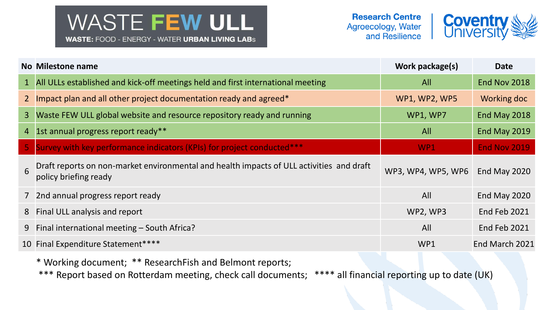## **WASTE FEW ULL WASTE: FOOD - ENERGY - WATER URBAN LIVING LABS**



|   | No Milestone name                                                                                                 | Work package(s)      | <b>Date</b>         |
|---|-------------------------------------------------------------------------------------------------------------------|----------------------|---------------------|
|   | 1 All ULLs established and kick-off meetings held and first international meeting                                 | All                  | End Nov 2018        |
|   | 2 Impact plan and all other project documentation ready and agreed*                                               | <b>WP1, WP2, WP5</b> | Working doc         |
|   | 3 Waste FEW ULL global website and resource repository ready and running                                          | WP1, WP7             | End May 2018        |
|   | 4 1st annual progress report ready**                                                                              | All                  | End May 2019        |
|   | 5 Survey with key performance indicators (KPIs) for project conducted***                                          | WP <sub>1</sub>      | <b>End Nov 2019</b> |
| 6 | Draft reports on non-market environmental and health impacts of ULL activities and draft<br>policy briefing ready | WP3, WP4, WP5, WP6   | End May 2020        |
|   | 7 2nd annual progress report ready                                                                                | All                  | End May 2020        |
|   | 8 Final ULL analysis and report                                                                                   | WP2, WP3             | End Feb 2021        |
|   | 9 Final international meeting - South Africa?                                                                     | All                  | End Feb 2021        |
|   | 10 Final Expenditure Statement****                                                                                | WP1                  | End March 2021      |

\* Working document; \*\* ResearchFish and Belmont reports;

\*\*\* Report based on Rotterdam meeting, check call documents; \*\*\*\* all financial reporting up to date (UK)